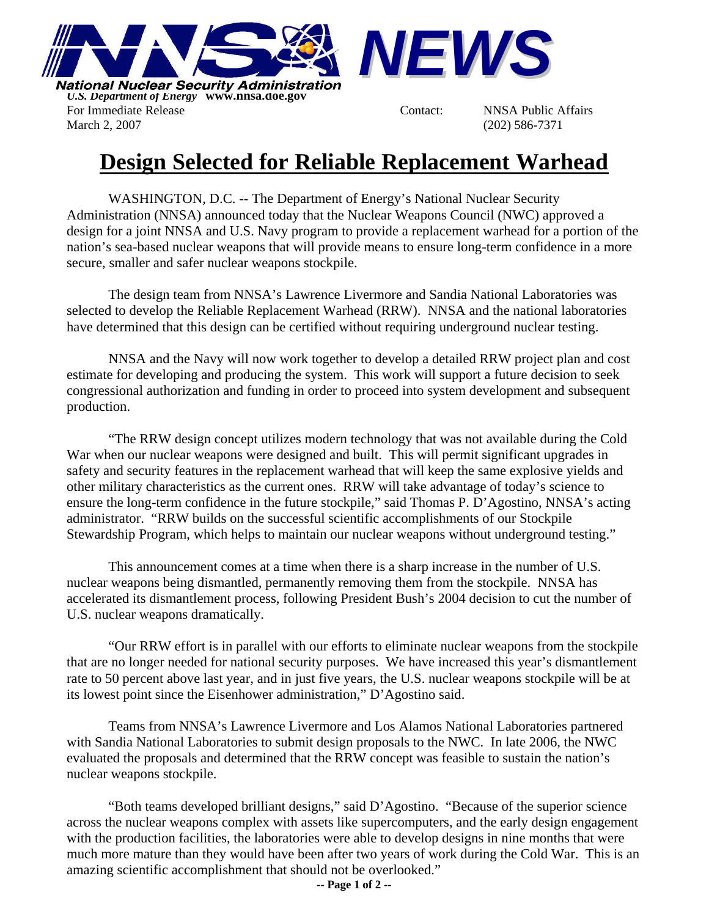

*U.S. Department of Energy* **www.nnsa.doe.gov**  For Immediate Release The Contact: NNSA Public Affairs March 2, 2007 (202) 586-7371



## **Design Selected for Reliable Replacement Warhead**

WASHINGTON, D.C. -- The Department of Energy's National Nuclear Security Administration (NNSA) announced today that the Nuclear Weapons Council (NWC) approved a design for a joint NNSA and U.S. Navy program to provide a replacement warhead for a portion of the nation's sea-based nuclear weapons that will provide means to ensure long-term confidence in a more secure, smaller and safer nuclear weapons stockpile.

The design team from NNSA's Lawrence Livermore and Sandia National Laboratories was selected to develop the Reliable Replacement Warhead (RRW). NNSA and the national laboratories have determined that this design can be certified without requiring underground nuclear testing.

NNSA and the Navy will now work together to develop a detailed RRW project plan and cost estimate for developing and producing the system. This work will support a future decision to seek congressional authorization and funding in order to proceed into system development and subsequent production.

"The RRW design concept utilizes modern technology that was not available during the Cold War when our nuclear weapons were designed and built. This will permit significant upgrades in safety and security features in the replacement warhead that will keep the same explosive yields and other military characteristics as the current ones. RRW will take advantage of today's science to ensure the long-term confidence in the future stockpile," said Thomas P. D'Agostino, NNSA's acting administrator. "RRW builds on the successful scientific accomplishments of our Stockpile Stewardship Program, which helps to maintain our nuclear weapons without underground testing."

This announcement comes at a time when there is a sharp increase in the number of U.S. nuclear weapons being dismantled, permanently removing them from the stockpile. NNSA has accelerated its dismantlement process, following President Bush's 2004 decision to cut the number of U.S. nuclear weapons dramatically.

"Our RRW effort is in parallel with our efforts to eliminate nuclear weapons from the stockpile that are no longer needed for national security purposes. We have increased this year's dismantlement rate to 50 percent above last year, and in just five years, the U.S. nuclear weapons stockpile will be at its lowest point since the Eisenhower administration," D'Agostino said.

Teams from NNSA's Lawrence Livermore and Los Alamos National Laboratories partnered with Sandia National Laboratories to submit design proposals to the NWC. In late 2006, the NWC evaluated the proposals and determined that the RRW concept was feasible to sustain the nation's nuclear weapons stockpile.

"Both teams developed brilliant designs," said D'Agostino. "Because of the superior science across the nuclear weapons complex with assets like supercomputers, and the early design engagement with the production facilities, the laboratories were able to develop designs in nine months that were much more mature than they would have been after two years of work during the Cold War. This is an amazing scientific accomplishment that should not be overlooked."